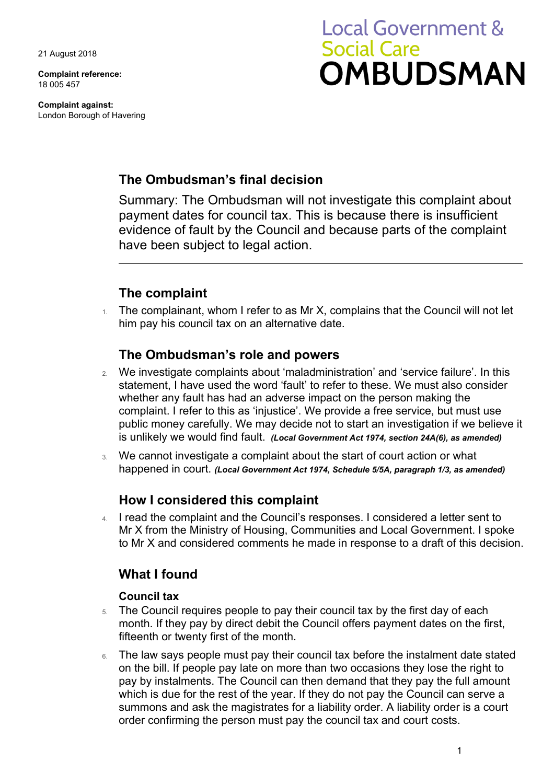21 August 2018

**Complaint reference:**  18 005 457

**Complaint against:**  London Borough of Havering

# **Local Government & Social Care OMBUDSMAN**

# **The Ombudsman's final decision**

Summary: The Ombudsman will not investigate this complaint about payment dates for council tax. This is because there is insufficient evidence of fault by the Council and because parts of the complaint have been subject to legal action.

# **The complaint**

 $1.$  The complainant, whom I refer to as Mr X, complains that the Council will not let him pay his council tax on an alternative date.

### **The Ombudsman's role and powers**

- public money carefully. We may decide not to start an investigation if we believe it 2. We investigate complaints about 'maladministration' and 'service failure'. In this statement, I have used the word 'fault' to refer to these. We must also consider whether any fault has had an adverse impact on the person making the complaint. I refer to this as 'injustice'. We provide a free service, but must use is unlikely we would find fault. *(Local Government Act 1974, section 24A(6), as amended)*
- 3. We cannot investigate a complaint about the start of court action or what happened in court. *(Local Government Act 1974, Schedule 5/5A, paragraph 1/3, as amended)*

## **How I considered this complaint**

4. I read the complaint and the Council's responses. I considered a letter sent to Mr X from the Ministry of Housing, Communities and Local Government. I spoke to Mr X and considered comments he made in response to a draft of this decision.

# **What I found**

#### **Council tax**

- 5. The Council requires people to pay their council tax by the first day of each month. If they pay by direct debit the Council offers payment dates on the first, fifteenth or twenty first of the month.
- on the bill. If people pay late on more than two occasions they lose the right to 6. The law says people must pay their council tax before the instalment date stated pay by instalments. The Council can then demand that they pay the full amount which is due for the rest of the year. If they do not pay the Council can serve a summons and ask the magistrates for a liability order. A liability order is a court order confirming the person must pay the council tax and court costs.